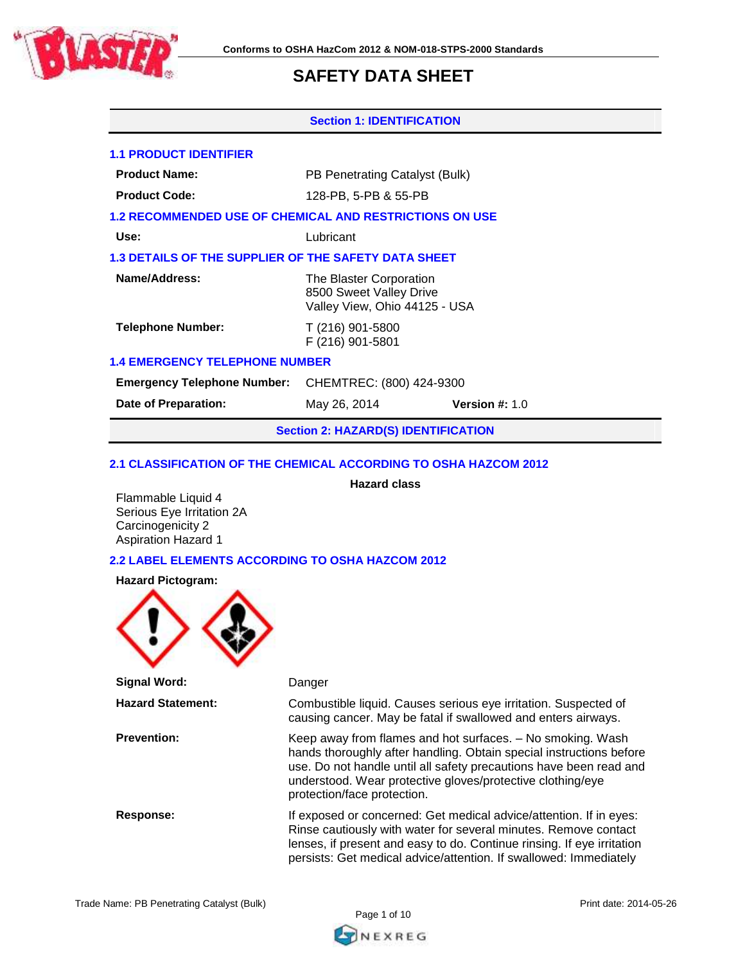

#### **Section 1: IDENTIFICATION**

### **1.1 PRODUCT IDENTIFIER**

| <b>Product Name:</b> | PB Penetrating Catalyst (Bulk) |
|----------------------|--------------------------------|
|----------------------|--------------------------------|

**Product Code:** 128-PB, 5-PB & 55-PB

### **1.2 RECOMMENDED USE OF CHEMICAL AND RESTRICTIONS ON USE**

**Use:** Lubricant

# **1.3 DETAILS OF THE SUPPLIER OF THE SAFETY DATA SHEET**

| Name/Address:            | The Blaster Corporation<br>8500 Sweet Valley Drive<br>Valley View, Ohio 44125 - USA |  |
|--------------------------|-------------------------------------------------------------------------------------|--|
| <b>Telephone Number:</b> | T (216) 901-5800<br>F (216) 901-5801                                                |  |

# **1.4 EMERGENCY TELEPHONE NUMBER**

**Emergency Telephone Number:** CHEMTREC: (800) 424-9300

**Date of Preparation:** May 26, 2014 **Version #:** 1.0

**Section 2: HAZARD(S) IDENTIFICATION**

**Hazard class**

#### **2.1 CLASSIFICATION OF THE CHEMICAL ACCORDING TO OSHA HAZCOM 2012**

Flammable Liquid 4 Serious Eye Irritation 2A Carcinogenicity 2 Aspiration Hazard 1

# **2.2 LABEL ELEMENTS ACCORDING TO OSHA HAZCOM 2012**

#### **Hazard Pictogram:**



**Signal Word:** Danger **Hazard Statement:** Combustible liquid. Causes serious eye irritation. Suspected of causing cancer. May be fatal if swallowed and enters airways. **Prevention:** Keep away from flames and hot surfaces. – No smoking. Wash hands thoroughly after handling. Obtain special instructions before use. Do not handle until all safety precautions have been read and understood. Wear protective gloves/protective clothing/eye protection/face protection. **Response:** If exposed or concerned: Get medical advice/attention. If in eyes: Rinse cautiously with water for several minutes. Remove contact lenses, if present and easy to do. Continue rinsing. If eye irritation persists: Get medical advice/attention. If swallowed: Immediately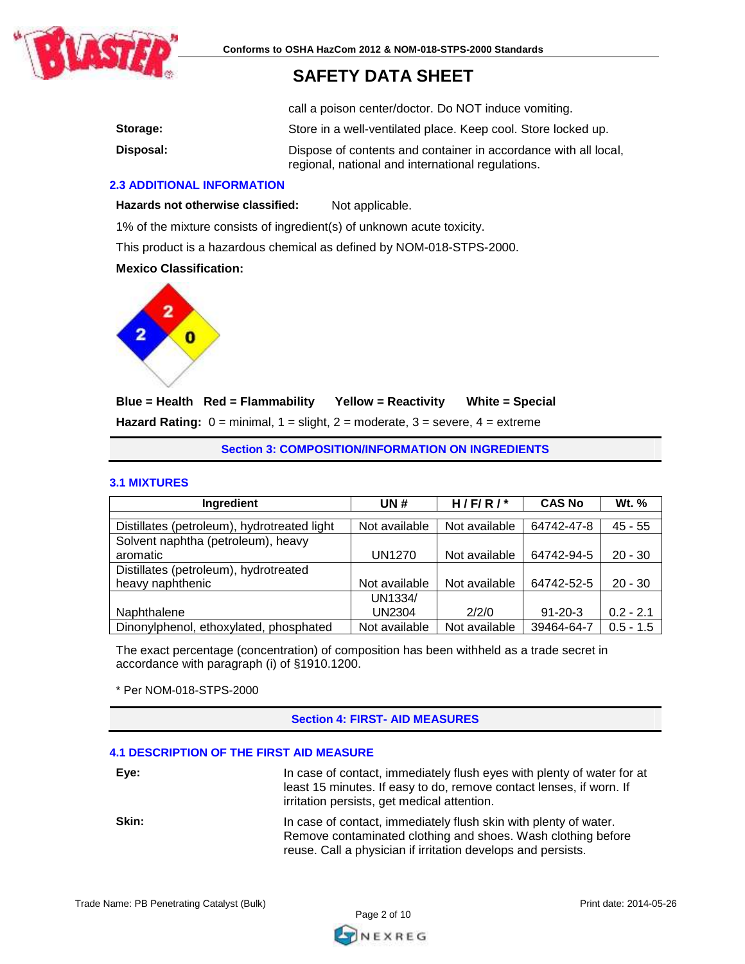

call a poison center/doctor. Do NOT induce vomiting.

| Storage:  | Store in a well-ventilated place. Keep cool. Store locked up.                                                        |
|-----------|----------------------------------------------------------------------------------------------------------------------|
| Disposal: | Dispose of contents and container in accordance with all local,<br>regional, national and international regulations. |

### **2.3 ADDITIONAL INFORMATION**

Hazards not otherwise classified: Not applicable.

1% of the mixture consists of ingredient(s) of unknown acute toxicity.

This product is a hazardous chemical as defined by NOM-018-STPS-2000.

# **Mexico Classification:**



# **Blue = Health Red = Flammability Yellow = Reactivity White = Special Hazard Rating:** 0 = minimal, 1 = slight, 2 = moderate, 3 = severe, 4 = extreme

**Section 3: COMPOSITION/INFORMATION ON INGREDIENTS**

#### **3.1 MIXTURES**

| Ingredient                                  | UN #          | H/F/R/        | <b>CAS No</b> | <b>Wt.</b> % |
|---------------------------------------------|---------------|---------------|---------------|--------------|
|                                             |               |               |               |              |
| Distillates (petroleum), hydrotreated light | Not available | Not available | 64742-47-8    | $45 - 55$    |
| Solvent naphtha (petroleum), heavy          |               |               |               |              |
| aromatic                                    | <b>UN1270</b> | Not available | 64742-94-5    | $20 - 30$    |
| Distillates (petroleum), hydrotreated       |               |               |               |              |
| heavy naphthenic                            | Not available | Not available | 64742-52-5    | $20 - 30$    |
|                                             | UN1334/       |               |               |              |
| Naphthalene                                 | <b>UN2304</b> | 2/2/0         | $91 - 20 - 3$ | $0.2 - 2.1$  |
| Dinonylphenol, ethoxylated, phosphated      | Not available | Not available | 39464-64-7    | $0.5 - 1.5$  |

The exact percentage (concentration) of composition has been withheld as a trade secret in accordance with paragraph (i) of §1910.1200.

\* Per NOM-018-STPS-2000

# **Section 4: FIRST- AID MEASURES**

#### **4.1 DESCRIPTION OF THE FIRST AID MEASURE**

| Eye:  | In case of contact, immediately flush eyes with plenty of water for at<br>least 15 minutes. If easy to do, remove contact lenses, if worn. If<br>irritation persists, get medical attention.     |
|-------|--------------------------------------------------------------------------------------------------------------------------------------------------------------------------------------------------|
| Skin: | In case of contact, immediately flush skin with plenty of water.<br>Remove contaminated clothing and shoes. Wash clothing before<br>reuse. Call a physician if irritation develops and persists. |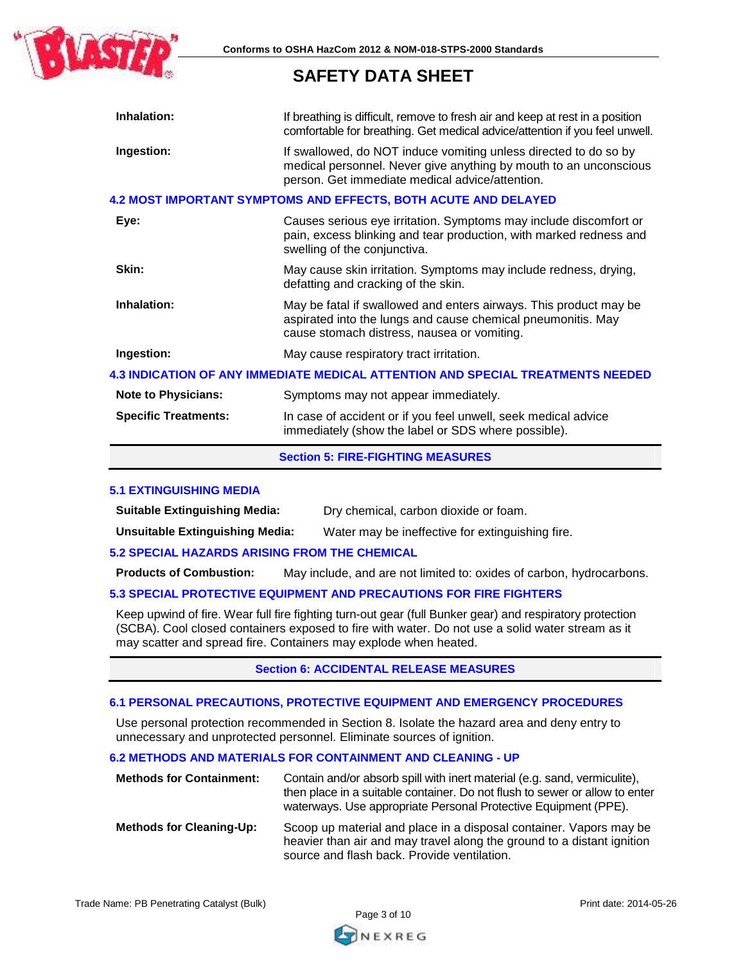

| Inhalation:                 | If breathing is difficult, remove to fresh air and keep at rest in a position<br>comfortable for breathing. Get medical advice/attention if you feel unwell.                             |
|-----------------------------|------------------------------------------------------------------------------------------------------------------------------------------------------------------------------------------|
| Ingestion:                  | If swallowed, do NOT induce vomiting unless directed to do so by<br>medical personnel. Never give anything by mouth to an unconscious<br>person. Get immediate medical advice/attention. |
|                             | <b>4.2 MOST IMPORTANT SYMPTOMS AND EFFECTS, BOTH ACUTE AND DELAYED</b>                                                                                                                   |
| Eye:                        | Causes serious eye irritation. Symptoms may include discomfort or<br>pain, excess blinking and tear production, with marked redness and<br>swelling of the conjunctiva.                  |
| Skin:                       | May cause skin irritation. Symptoms may include redness, drying,<br>defatting and cracking of the skin.                                                                                  |
| Inhalation:                 | May be fatal if swallowed and enters airways. This product may be<br>aspirated into the lungs and cause chemical pneumonitis. May<br>cause stomach distress, nausea or vomiting.         |
| Ingestion:                  | May cause respiratory tract irritation.                                                                                                                                                  |
|                             | 4.3 INDICATION OF ANY IMMEDIATE MEDICAL ATTENTION AND SPECIAL TREATMENTS NEEDED                                                                                                          |
| <b>Note to Physicians:</b>  | Symptoms may not appear immediately.                                                                                                                                                     |
| <b>Specific Treatments:</b> | In case of accident or if you feel unwell, seek medical advice<br>immediately (show the label or SDS where possible).                                                                    |

#### **Section 5: FIRE-FIGHTING MEASURES**

#### **5.1 EXTINGUISHING MEDIA**

**Suitable Extinguishing Media:** Dry chemical, carbon dioxide or foam.

**Unsuitable Extinguishing Media:** Water may be ineffective for extinguishing fire.

#### **5.2 SPECIAL HAZARDS ARISING FROM THE CHEMICAL**

**Products of Combustion:** May include, and are not limited to: oxides of carbon, hydrocarbons.

# **5.3 SPECIAL PROTECTIVE EQUIPMENT AND PRECAUTIONS FOR FIRE FIGHTERS**

Keep upwind of fire. Wear full fire fighting turn-out gear (full Bunker gear) and respiratory protection (SCBA). Cool closed containers exposed to fire with water. Do not use a solid water stream as it may scatter and spread fire. Containers may explode when heated.

#### **Section 6: ACCIDENTAL RELEASE MEASURES**

#### **6.1 PERSONAL PRECAUTIONS, PROTECTIVE EQUIPMENT AND EMERGENCY PROCEDURES**

Use personal protection recommended in Section 8. Isolate the hazard area and deny entry to unnecessary and unprotected personnel. Eliminate sources of ignition.

#### **6.2 METHODS AND MATERIALS FOR CONTAINMENT AND CLEANING - UP**

| <b>Methods for Containment:</b> | Contain and/or absorb spill with inert material (e.g. sand, vermiculite),<br>then place in a suitable container. Do not flush to sewer or allow to enter<br>waterways. Use appropriate Personal Protective Equipment (PPE). |  |
|---------------------------------|-----------------------------------------------------------------------------------------------------------------------------------------------------------------------------------------------------------------------------|--|
| <b>Methods for Cleaning-Up:</b> | Scoop up material and place in a disposal container. Vapors may be<br>heavier than air and may travel along the ground to a distant ignition<br>source and flash back. Provide ventilation.                                 |  |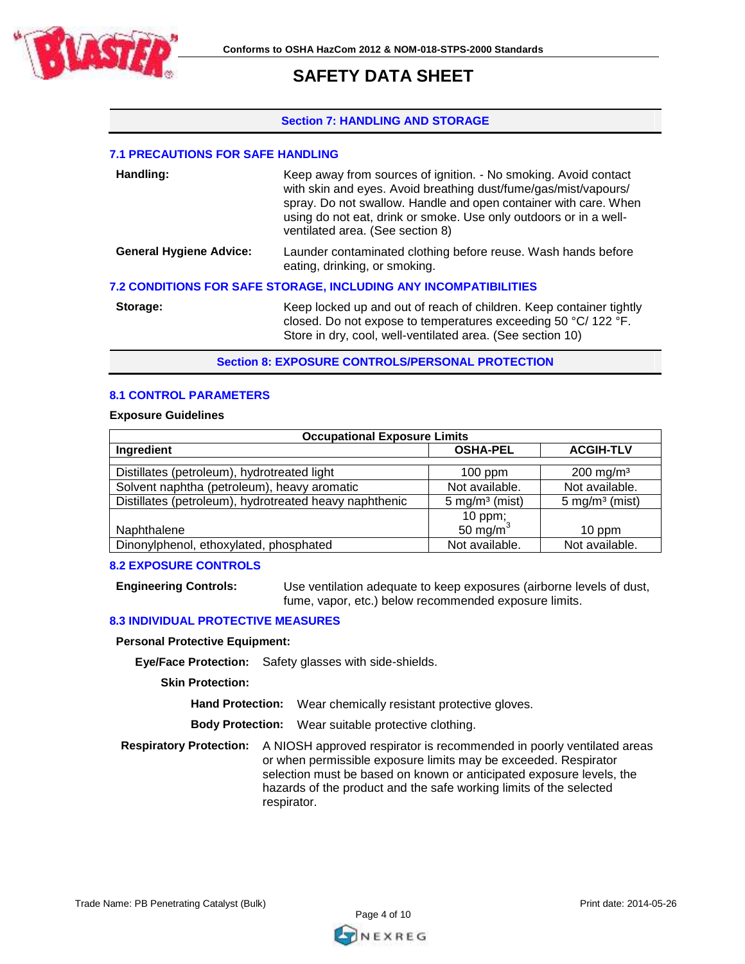

#### **Section 7: HANDLING AND STORAGE**

# **7.1 PRECAUTIONS FOR SAFE HANDLING**

| Handling:                      | Keep away from sources of ignition. - No smoking. Avoid contact<br>with skin and eyes. Avoid breathing dust/fume/gas/mist/vapours/<br>spray. Do not swallow. Handle and open container with care. When<br>using do not eat, drink or smoke. Use only outdoors or in a well-<br>ventilated area. (See section 8) |
|--------------------------------|-----------------------------------------------------------------------------------------------------------------------------------------------------------------------------------------------------------------------------------------------------------------------------------------------------------------|
| <b>General Hygiene Advice:</b> | Launder contaminated clothing before reuse. Wash hands before<br>eating, drinking, or smoking.                                                                                                                                                                                                                  |
|                                | <b>7.2 CONDITIONS FOR SAFE STORAGE, INCLUDING ANY INCOMPATIBILITIES</b>                                                                                                                                                                                                                                         |
| Storage:                       | Keep locked up and out of reach of children. Keep container tightly<br>closed. Do not expose to temperatures exceeding 50 °C/122 °F.<br>Store in dry, cool, well-ventilated area. (See section 10)                                                                                                              |

**Section 8: EXPOSURE CONTROLS/PERSONAL PROTECTION** 

### **8.1 CONTROL PARAMETERS**

#### **Exposure Guidelines**

| <b>Occupational Exposure Limits</b>                    |                           |                           |  |
|--------------------------------------------------------|---------------------------|---------------------------|--|
| Ingredient                                             | <b>OSHA-PEL</b>           | <b>ACGIH-TLV</b>          |  |
|                                                        |                           |                           |  |
| Distillates (petroleum), hydrotreated light            | $100$ ppm                 | $200 \text{ mg/m}^3$      |  |
| Solvent naphtha (petroleum), heavy aromatic            | Not available.            | Not available.            |  |
| Distillates (petroleum), hydrotreated heavy naphthenic | $5 \text{ mg/m}^3$ (mist) | $5 \text{ mg/m}^3$ (mist) |  |
|                                                        | 10 ppm;                   |                           |  |
| Naphthalene                                            | 50 mg/m $^{3}$            | 10 ppm                    |  |
| Dinonylphenol, ethoxylated, phosphated                 | Not available.            | Not available.            |  |

#### **8.2 EXPOSURE CONTROLS**

**Engineering Controls:** Use ventilation adequate to keep exposures (airborne levels of dust, fume, vapor, etc.) below recommended exposure limits.

## **8.3 INDIVIDUAL PROTECTIVE MEASURES**

#### **Personal Protective Equipment:**

**Eye/Face Protection:** Safety glasses with side-shields.

**Skin Protection:**

**Hand Protection:** Wear chemically resistant protective gloves.

**Body Protection:** Wear suitable protective clothing.

**Respiratory Protection:** A NIOSH approved respirator is recommended in poorly ventilated areas or when permissible exposure limits may be exceeded. Respirator selection must be based on known or anticipated exposure levels, the hazards of the product and the safe working limits of the selected respirator.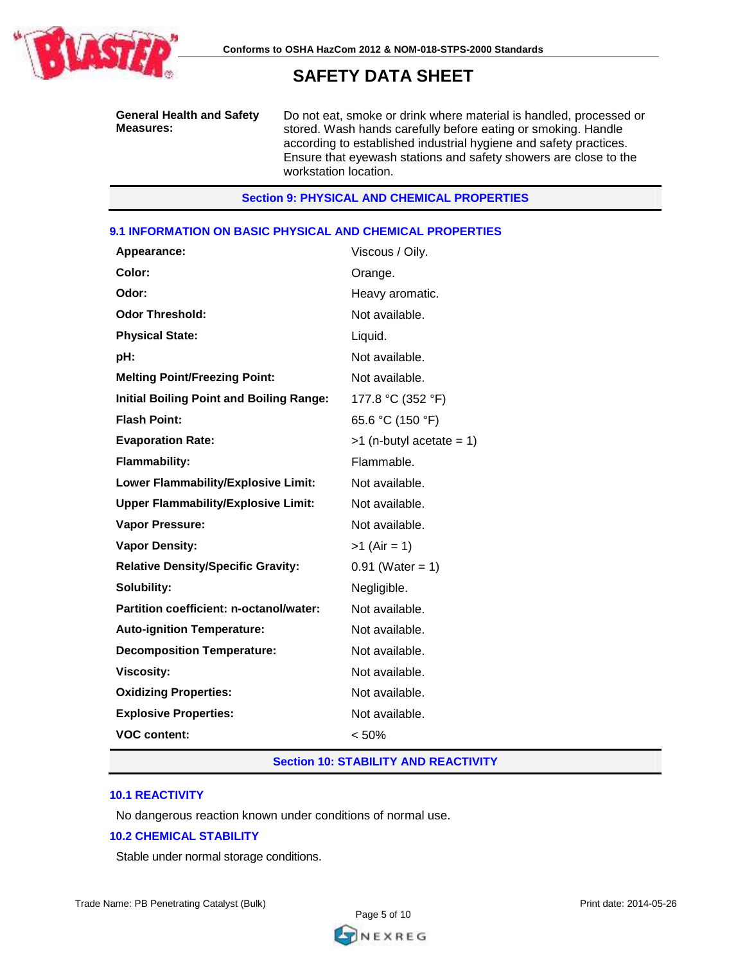

**General Health and Safety Measures:**

Do not eat, smoke or drink where material is handled, processed or stored. Wash hands carefully before eating or smoking. Handle according to established industrial hygiene and safety practices. Ensure that eyewash stations and safety showers are close to the workstation location.

# **Section 9: PHYSICAL AND CHEMICAL PROPERTIES**

### **9.1 INFORMATION ON BASIC PHYSICAL AND CHEMICAL PROPERTIES**

| Appearance:                                     | Viscous / Oily.            |
|-------------------------------------------------|----------------------------|
| Color:                                          | Orange.                    |
| Odor:                                           | Heavy aromatic.            |
| <b>Odor Threshold:</b>                          | Not available.             |
| <b>Physical State:</b>                          | Liquid.                    |
| pH:                                             | Not available.             |
| <b>Melting Point/Freezing Point:</b>            | Not available.             |
| <b>Initial Boiling Point and Boiling Range:</b> | 177.8 °C (352 °F)          |
| <b>Flash Point:</b>                             | 65.6 °C (150 °F)           |
| <b>Evaporation Rate:</b>                        | $>1$ (n-butyl acetate = 1) |
| <b>Flammability:</b>                            | Flammable.                 |
| Lower Flammability/Explosive Limit:             | Not available.             |
| <b>Upper Flammability/Explosive Limit:</b>      | Not available.             |
| Vapor Pressure:                                 | Not available.             |
| <b>Vapor Density:</b>                           | $>1$ (Air = 1)             |
| <b>Relative Density/Specific Gravity:</b>       | $0.91$ (Water = 1)         |
| Solubility:                                     | Negligible.                |
| Partition coefficient: n-octanol/water:         | Not available.             |
| <b>Auto-ignition Temperature:</b>               | Not available.             |
| <b>Decomposition Temperature:</b>               | Not available.             |
| <b>Viscosity:</b>                               | Not available.             |
| <b>Oxidizing Properties:</b>                    | Not available.             |
| <b>Explosive Properties:</b>                    | Not available.             |
| <b>VOC content:</b>                             | < 50%                      |

#### **Section 10: STABILITY AND REACTIVITY**

#### **10.1 REACTIVITY**

No dangerous reaction known under conditions of normal use.

#### **10.2 CHEMICAL STABILITY**

Stable under normal storage conditions.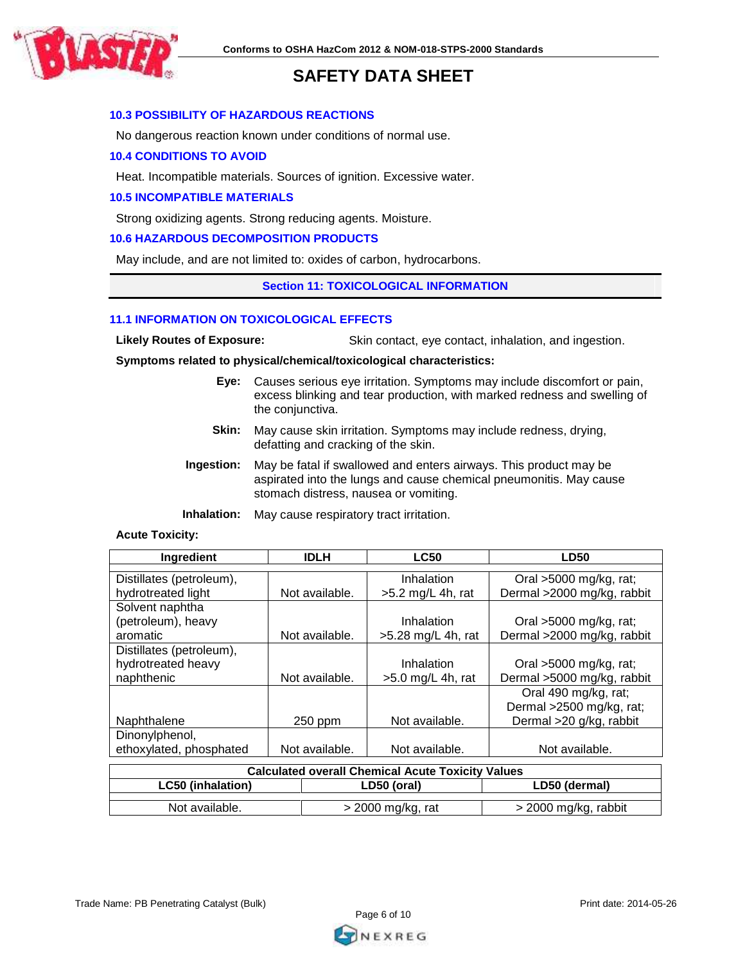

# **10.3 POSSIBILITY OF HAZARDOUS REACTIONS**

No dangerous reaction known under conditions of normal use.

### **10.4 CONDITIONS TO AVOID**

Heat. Incompatible materials. Sources of ignition. Excessive water.

### **10.5 INCOMPATIBLE MATERIALS**

Strong oxidizing agents. Strong reducing agents. Moisture.

### **10.6 HAZARDOUS DECOMPOSITION PRODUCTS**

May include, and are not limited to: oxides of carbon, hydrocarbons.

#### **Section 11: TOXICOLOGICAL INFORMATION**

#### **11.1 INFORMATION ON TOXICOLOGICAL EFFECTS**

Likely Routes of Exposure: Skin contact, eye contact, inhalation, and ingestion.

**Symptoms related to physical/chemical/toxicological characteristics:** 

- **Eye:** Causes serious eye irritation. Symptoms may include discomfort or pain, excess blinking and tear production, with marked redness and swelling of the conjunctiva.
- **Skin:** May cause skin irritation. Symptoms may include redness, drying, defatting and cracking of the skin.
- **Ingestion:** May be fatal if swallowed and enters airways. This product may be aspirated into the lungs and cause chemical pneumonitis. May cause stomach distress, nausea or vomiting.

**Inhalation:** May cause respiratory tract irritation.

#### **Acute Toxicity:**

| Ingredient               | <b>IDLH</b>    | <b>LC50</b>          | <b>LD50</b>                |
|--------------------------|----------------|----------------------|----------------------------|
|                          |                |                      |                            |
| Distillates (petroleum), |                | Inhalation           | Oral $>5000$ mg/kg, rat;   |
| hydrotreated light       | Not available. | $>5.2$ mg/L 4h, rat  | Dermal >2000 mg/kg, rabbit |
| Solvent naphtha          |                |                      |                            |
| (petroleum), heavy       |                | Inhalation           | Oral >5000 mg/kg, rat;     |
| aromatic                 | Not available. | $>5.28$ mg/L 4h, rat | Dermal >2000 mg/kg, rabbit |
| Distillates (petroleum), |                |                      |                            |
| hydrotreated heavy       |                | Inhalation           | Oral >5000 mg/kg, rat;     |
| naphthenic               | Not available. | $>5.0$ mg/L 4h, rat  | Dermal >5000 mg/kg, rabbit |
|                          |                |                      | Oral 490 mg/kg, rat;       |
|                          |                |                      | Dermal >2500 mg/kg, rat;   |
| Naphthalene              | 250 ppm        | Not available.       | Dermal >20 g/kg, rabbit    |
| Dinonylphenol,           |                |                      |                            |
| ethoxylated, phosphated  | Not available. | Not available.       | Not available.             |

| <b>Calculated overall Chemical Acute Toxicity Values</b> |                   |                      |  |
|----------------------------------------------------------|-------------------|----------------------|--|
| <b>LC50 (inhalation)</b><br>LD50 (dermal)<br>LD50 (oral) |                   |                      |  |
|                                                          |                   |                      |  |
| Not available.                                           | > 2000 mg/kg, rat | > 2000 mg/kg, rabbit |  |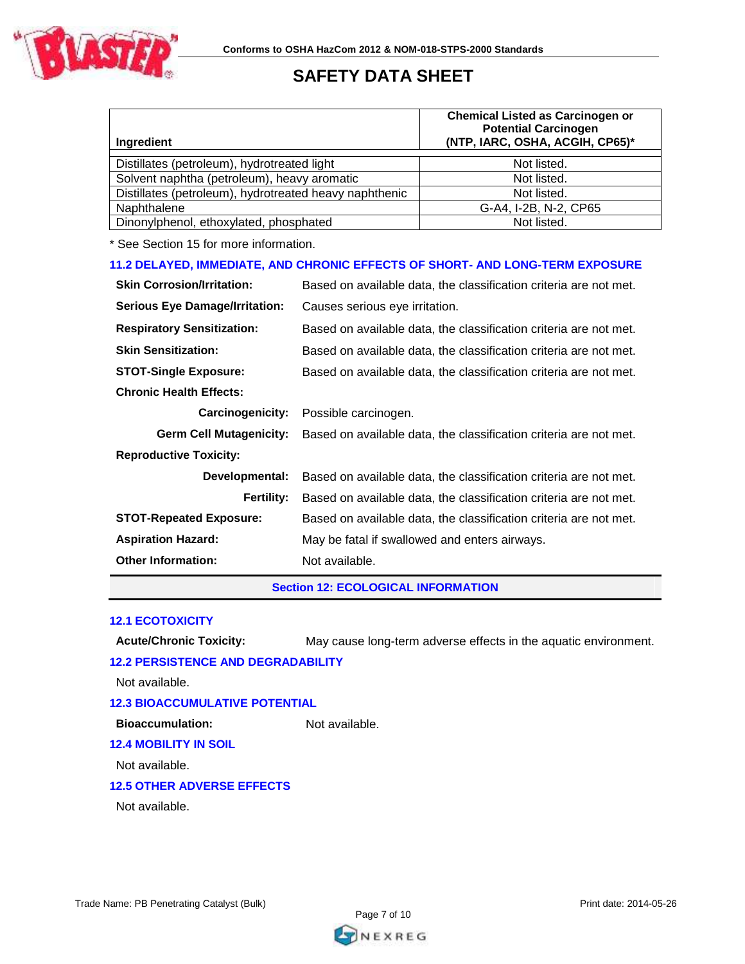

| Ingredient                                                                    |                                                                   | <b>Chemical Listed as Carcinogen or</b><br><b>Potential Carcinogen</b><br>(NTP, IARC, OSHA, ACGIH, CP65)* |  |
|-------------------------------------------------------------------------------|-------------------------------------------------------------------|-----------------------------------------------------------------------------------------------------------|--|
| Distillates (petroleum), hydrotreated light                                   |                                                                   | Not listed.                                                                                               |  |
| Solvent naphtha (petroleum), heavy aromatic                                   |                                                                   | Not listed.                                                                                               |  |
| Distillates (petroleum), hydrotreated heavy naphthenic                        |                                                                   | Not listed.                                                                                               |  |
| Naphthalene                                                                   |                                                                   | G-A4, I-2B, N-2, CP65                                                                                     |  |
| Dinonylphenol, ethoxylated, phosphated                                        |                                                                   | Not listed.                                                                                               |  |
| * See Section 15 for more information.                                        |                                                                   |                                                                                                           |  |
| 11.2 DELAYED, IMMEDIATE, AND CHRONIC EFFECTS OF SHORT- AND LONG-TERM EXPOSURE |                                                                   |                                                                                                           |  |
| <b>Skin Corrosion/Irritation:</b>                                             | Based on available data, the classification criteria are not met. |                                                                                                           |  |
| <b>Serious Eye Damage/Irritation:</b>                                         | Causes serious eye irritation.                                    |                                                                                                           |  |
| <b>Respiratory Sensitization:</b>                                             | Based on available data, the classification criteria are not met. |                                                                                                           |  |
| <b>Skin Sensitization:</b>                                                    | Based on available data, the classification criteria are not met. |                                                                                                           |  |
| <b>STOT-Single Exposure:</b>                                                  | Based on available data, the classification criteria are not met. |                                                                                                           |  |
| <b>Chronic Health Effects:</b>                                                |                                                                   |                                                                                                           |  |
| <b>Carcinogenicity:</b>                                                       | Possible carcinogen.                                              |                                                                                                           |  |
| <b>Germ Cell Mutagenicity:</b>                                                | Based on available data, the classification criteria are not met. |                                                                                                           |  |
| <b>Reproductive Toxicity:</b>                                                 |                                                                   |                                                                                                           |  |
| Developmental:                                                                | Based on available data, the classification criteria are not met. |                                                                                                           |  |
| <b>Fertility:</b>                                                             |                                                                   | Based on available data, the classification criteria are not met.                                         |  |
| <b>STOT-Repeated Exposure:</b>                                                | Based on available data, the classification criteria are not met. |                                                                                                           |  |
| <b>Aspiration Hazard:</b>                                                     | May be fatal if swallowed and enters airways.                     |                                                                                                           |  |
| <b>Other Information:</b>                                                     | Not available.                                                    |                                                                                                           |  |
| <b>Section 12: ECOLOGICAL INFORMATION</b>                                     |                                                                   |                                                                                                           |  |

#### **12.1 ECOTOXICITY**

**Acute/Chronic Toxicity:** May cause long-term adverse effects in the aquatic environment.

# **12.2 PERSISTENCE AND DEGRADABILITY**

Not available.

# **12.3 BIOACCUMULATIVE POTENTIAL**

**Bioaccumulation:** Not available.

# **12.4 MOBILITY IN SOIL**

Not available.

# **12.5 OTHER ADVERSE EFFECTS**

Not available.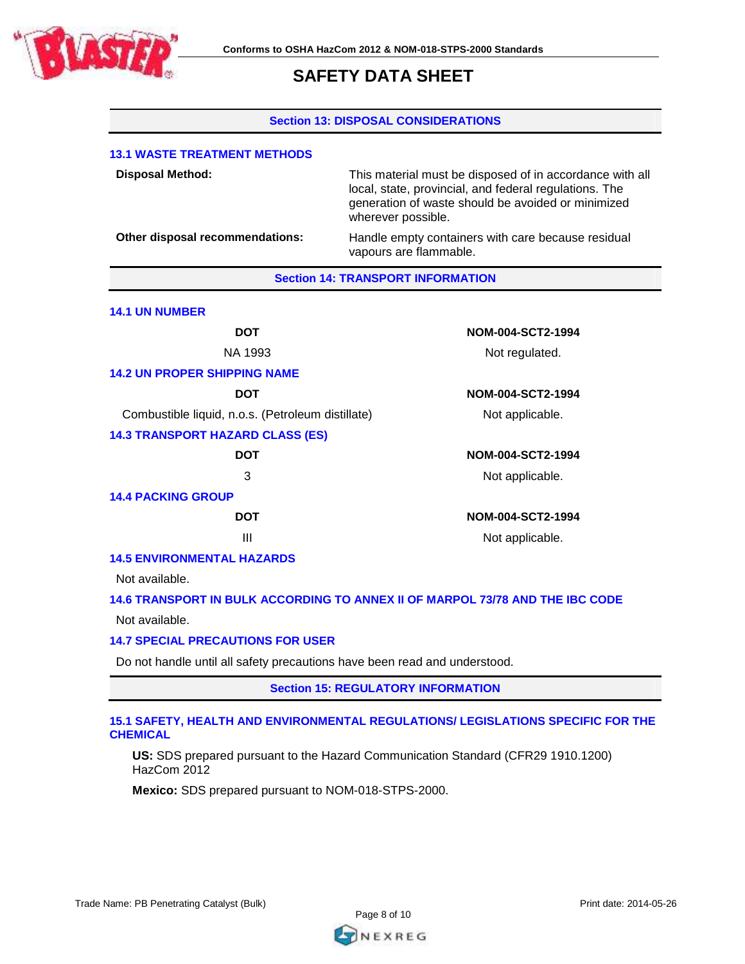

#### **Section 13: DISPOSAL CONSIDERATIONS**

| <b>13.1 WASTE TREATMENT METHODS</b>               |                                                                                                                                                                                                |  |
|---------------------------------------------------|------------------------------------------------------------------------------------------------------------------------------------------------------------------------------------------------|--|
| <b>Disposal Method:</b>                           | This material must be disposed of in accordance with all<br>local, state, provincial, and federal regulations. The<br>generation of waste should be avoided or minimized<br>wherever possible. |  |
| Other disposal recommendations:                   | Handle empty containers with care because residual<br>vapours are flammable.                                                                                                                   |  |
|                                                   | <b>Section 14: TRANSPORT INFORMATION</b>                                                                                                                                                       |  |
| <b>14.1 UN NUMBER</b>                             |                                                                                                                                                                                                |  |
| <b>DOT</b>                                        | NOM-004-SCT2-1994                                                                                                                                                                              |  |
| NA 1993                                           | Not regulated.                                                                                                                                                                                 |  |
| <b>14.2 UN PROPER SHIPPING NAME</b>               |                                                                                                                                                                                                |  |
| <b>DOT</b>                                        | NOM-004-SCT2-1994                                                                                                                                                                              |  |
| Combustible liquid, n.o.s. (Petroleum distillate) | Not applicable.                                                                                                                                                                                |  |
| <b>14.3 TRANSPORT HAZARD CLASS (ES)</b>           |                                                                                                                                                                                                |  |
| <b>DOT</b>                                        | NOM-004-SCT2-1994                                                                                                                                                                              |  |
| 3                                                 | Not applicable.                                                                                                                                                                                |  |
| <b>14.4 PACKING GROUP</b>                         |                                                                                                                                                                                                |  |
| <b>DOT</b>                                        | NOM-004-SCT2-1994                                                                                                                                                                              |  |
| $\mathbf{III}$                                    | Not applicable.                                                                                                                                                                                |  |
| <b>14.5 ENVIRONMENTAL HAZARDS</b>                 |                                                                                                                                                                                                |  |
| Not available.                                    |                                                                                                                                                                                                |  |
|                                                   | 14.6 TRANSPORT IN BULK ACCORDING TO ANNEX II OF MARPOL 73/78 AND THE IBC CODE                                                                                                                  |  |
| Not available.                                    |                                                                                                                                                                                                |  |

# **14.7 SPECIAL PRECAUTIONS FOR USER**

Do not handle until all safety precautions have been read and understood.

**Section 15: REGULATORY INFORMATION**

#### **15.1 SAFETY, HEALTH AND ENVIRONMENTAL REGULATIONS/ LEGISLATIONS SPECIFIC FOR THE CHEMICAL**

**US:** SDS prepared pursuant to the Hazard Communication Standard (CFR29 1910.1200) HazCom 2012

**Mexico:** SDS prepared pursuant to NOM-018-STPS-2000.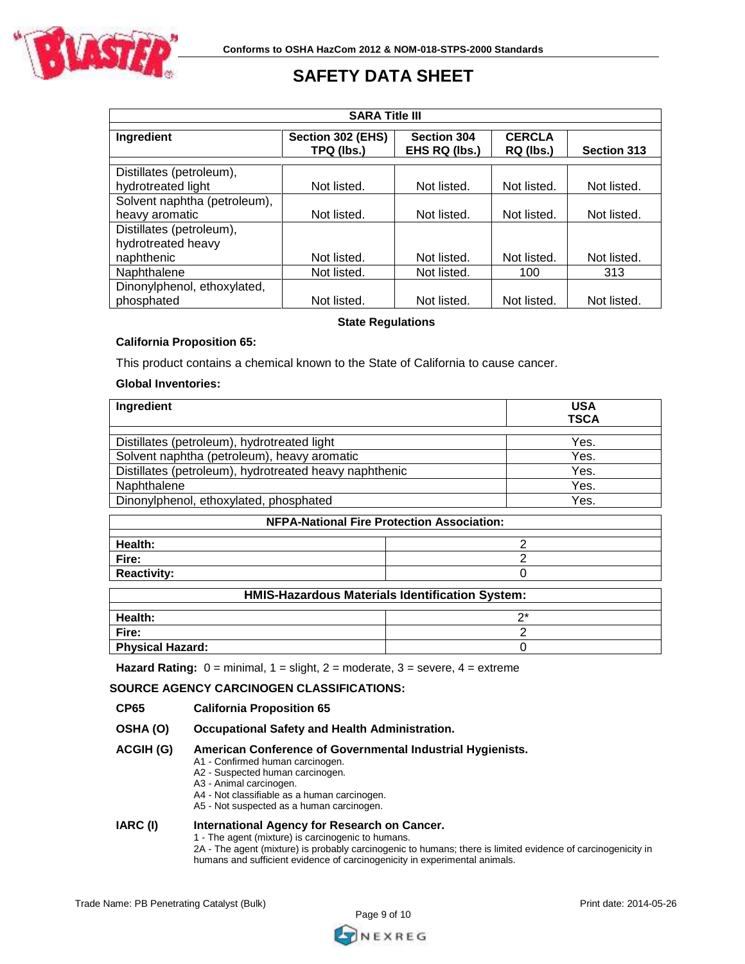

| <b>SARA Title III</b>                          |                                 |                                     |                            |                    |
|------------------------------------------------|---------------------------------|-------------------------------------|----------------------------|--------------------|
| Ingredient                                     | Section 302 (EHS)<br>TPQ (lbs.) | <b>Section 304</b><br>EHS RQ (lbs.) | <b>CERCLA</b><br>RQ (lbs.) | Section 313        |
| Distillates (petroleum),<br>hydrotreated light | Not listed.                     | Not listed.                         | Not listed.                | Not listed.        |
| Solvent naphtha (petroleum),<br>heavy aromatic | Not listed.                     | Not listed.                         | Not listed.                | Not listed.        |
| Distillates (petroleum),<br>hydrotreated heavy |                                 |                                     |                            |                    |
| naphthenic<br>Naphthalene                      | Not listed.<br>Not listed.      | Not listed.<br>Not listed.          | Not listed.<br>100         | Not listed.<br>313 |
| Dinonylphenol, ethoxylated,<br>phosphated      | Not listed.                     | Not listed.                         | Not listed.                | Not listed.        |

# **State Regulations**

#### **California Proposition 65:**

This product contains a chemical known to the State of California to cause cancer.

#### **Global Inventories:**

| Ingredient                                             | <b>USA</b><br><b>TSCA</b>                              |  |
|--------------------------------------------------------|--------------------------------------------------------|--|
| Distillates (petroleum), hydrotreated light            | Yes.                                                   |  |
| Solvent naphtha (petroleum), heavy aromatic            | Yes.                                                   |  |
| Distillates (petroleum), hydrotreated heavy naphthenic | Yes.                                                   |  |
| Naphthalene                                            | Yes.                                                   |  |
| Dinonylphenol, ethoxylated, phosphated                 | Yes.                                                   |  |
|                                                        | <b>NFPA-National Fire Protection Association:</b>      |  |
| Health:                                                | 2                                                      |  |
| Fire:                                                  | 2                                                      |  |
| <b>Reactivity:</b>                                     | ი                                                      |  |
|                                                        | <b>HMIS-Hazardous Materials Identification System:</b> |  |
| Health:                                                | $2^*$                                                  |  |
|                                                        | $\sim$                                                 |  |

**Fire:** 2 **Physical Hazard:** 0

**Hazard Rating:** 0 = minimal, 1 = slight, 2 = moderate, 3 = severe, 4 = extreme

#### **SOURCE AGENCY CARCINOGEN CLASSIFICATIONS:**

#### **CP65 California Proposition 65**

**OSHA (O) Occupational Safety and Health Administration.**

### **ACGIH (G) American Conference of Governmental Industrial Hygienists.**

- A1 Confirmed human carcinogen.
	- A2 Suspected human carcinogen.
	- A3 Animal carcinogen.
	- A4 Not classifiable as a human carcinogen.
- A5 Not suspected as a human carcinogen.

# **IARC (I) International Agency for Research on Cancer.**

1 - The agent (mixture) is carcinogenic to humans.

2A - The agent (mixture) is probably carcinogenic to humans; there is limited evidence of carcinogenicity in humans and sufficient evidence of carcinogenicity in experimental animals.